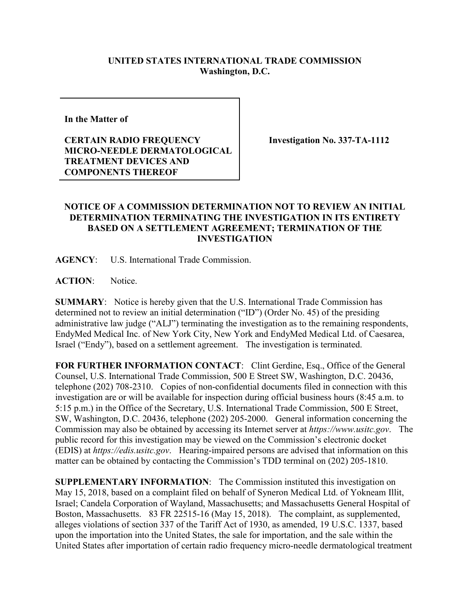## **UNITED STATES INTERNATIONAL TRADE COMMISSION Washington, D.C.**

**In the Matter of** 

## **CERTAIN RADIO FREQUENCY MICRO-NEEDLE DERMATOLOGICAL TREATMENT DEVICES AND COMPONENTS THEREOF**

**Investigation No. 337-TA-1112**

## **NOTICE OF A COMMISSION DETERMINATION NOT TO REVIEW AN INITIAL DETERMINATION TERMINATING THE INVESTIGATION IN ITS ENTIRETY BASED ON A SETTLEMENT AGREEMENT; TERMINATION OF THE INVESTIGATION**

**AGENCY**: U.S. International Trade Commission.

**ACTION**: Notice.

**SUMMARY**: Notice is hereby given that the U.S. International Trade Commission has determined not to review an initial determination ("ID") (Order No. 45) of the presiding administrative law judge ("ALJ") terminating the investigation as to the remaining respondents, EndyMed Medical Inc. of New York City, New York and EndyMed Medical Ltd. of Caesarea, Israel ("Endy"), based on a settlement agreement. The investigation is terminated.

FOR FURTHER INFORMATION CONTACT: Clint Gerdine, Esq., Office of the General Counsel, U.S. International Trade Commission, 500 E Street SW, Washington, D.C. 20436, telephone (202) 708-2310. Copies of non-confidential documents filed in connection with this investigation are or will be available for inspection during official business hours (8:45 a.m. to 5:15 p.m.) in the Office of the Secretary, U.S. International Trade Commission, 500 E Street, SW, Washington, D.C. 20436, telephone (202) 205-2000. General information concerning the Commission may also be obtained by accessing its Internet server at *https://www.usitc.gov*. The public record for this investigation may be viewed on the Commission's electronic docket (EDIS) at *https://edis.usitc.gov*. Hearing-impaired persons are advised that information on this matter can be obtained by contacting the Commission's TDD terminal on (202) 205-1810.

**SUPPLEMENTARY INFORMATION**: The Commission instituted this investigation on May 15, 2018, based on a complaint filed on behalf of Syneron Medical Ltd. of Yokneam Illit, Israel; Candela Corporation of Wayland, Massachusetts; and Massachusetts General Hospital of Boston, Massachusetts. 83 FR 22515-16 (May 15, 2018). The complaint, as supplemented, alleges violations of section 337 of the Tariff Act of 1930, as amended, 19 U.S.C. 1337, based upon the importation into the United States, the sale for importation, and the sale within the United States after importation of certain radio frequency micro-needle dermatological treatment